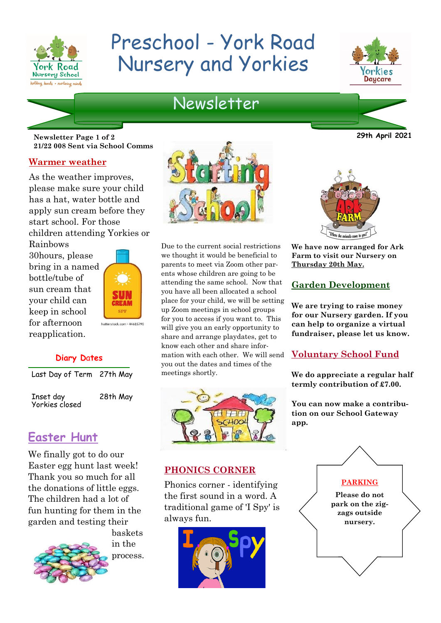

# Preschool - York Road Nursery and Yorkies



# Newsletter

**Newsletter Page 1 of 2 29th April 2021 21/22 008 Sent via School Comms**

#### **Warmer weather**

As the weather improves, please make sure your child has a hat, water bottle and apply sun cream before they start school. For those children attending Yorkies or

Rainbows 30hours, please bring in a named bottle/tube of sun cream that your child can keep in school for afternoon reapplication.



#### **Diary D**a**tes**

Last Day of Term 27th May

Inset day Yorkies closed 28th May

## **Easter Hunt**

We finally got to do our Easter egg hunt last week! Thank you so much for all the donations of little eggs. The children had a lot of fun hunting for them in the garden and testing their



baskets in the process.



Due to the current social restrictions we thought it would be beneficial to parents to meet via Zoom other parents whose children are going to be attending the same school. Now that you have all been allocated a school place for your child, we will be setting up Zoom meetings in school groups for you to access if you want to. This will give you an early opportunity to share and arrange playdates, get to know each other and share information with each other. We will send you out the dates and times of the meetings shortly.



#### **PHONICS CORNER**

Phonics corner - identifying the first sound in a word. A traditional game of 'I Spy' is always fun.





**We have now arranged for Ark Farm to visit our Nursery on Thursday 20th May.**

#### **Garden Development**

**We are trying to raise money for our Nursery garden. If you can help to organize a virtual fundraiser, please let us know.**

#### **Voluntary School Fund**

**We do appreciate a regular half termly contribution of £7.00.**

**You can now make a contribution on our School Gateway app.**